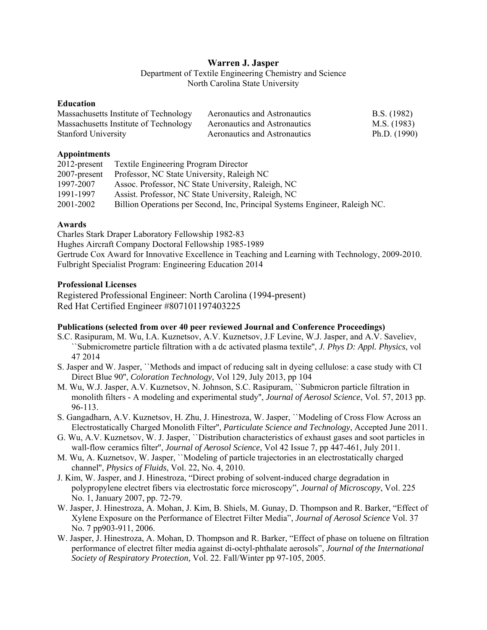# **Warren J. Jasper**

Department of Textile Engineering Chemistry and Science North Carolina State University

#### **Education**

| Massachusetts Institute of Technology | Aeronautics and Astronautics | B.S. (1982)    |
|---------------------------------------|------------------------------|----------------|
| Massachusetts Institute of Technology | Aeronautics and Astronautics | M.S. (1983)    |
| <b>Stanford University</b>            | Aeronautics and Astronautics | Ph.D. $(1990)$ |

## **Appointments**

| 2012-present | <b>Textile Engineering Program Director</b>                                 |
|--------------|-----------------------------------------------------------------------------|
| 2007-present | Professor, NC State University, Raleigh NC                                  |
| 1997-2007    | Assoc. Professor, NC State University, Raleigh, NC                          |
| 1991-1997    | Assist. Professor, NC State University, Raleigh, NC                         |
| 2001-2002    | Billion Operations per Second, Inc, Principal Systems Engineer, Raleigh NC. |

## **Awards**

Charles Stark Draper Laboratory Fellowship 1982-83 Hughes Aircraft Company Doctoral Fellowship 1985-1989 Gertrude Cox Award for Innovative Excellence in Teaching and Learning with Technology, 2009-2010. Fulbright Specialist Program: Engineering Education 2014

## **Professional Licenses**

Registered Professional Engineer: North Carolina (1994-present) Red Hat Certified Engineer #807101197403225

## **Publications (selected from over 40 peer reviewed Journal and Conference Proceedings)**

- S.C. Rasipuram, M. Wu, I.A. Kuznetsov, A.V. Kuznetsov, J.F Levine, W.J. Jasper, and A.V. Saveliev, ``Submicrometre particle filtration with a dc activated plasma textile'', *J. Phys D: Appl. Physics*, vol 47 2014
- S. Jasper and W. Jasper, ``Methods and impact of reducing salt in dyeing cellulose: a case study with CI Direct Blue 90'', *Coloration Technology*, Vol 129, July 2013, pp 104
- M. Wu, W.J. Jasper, A.V. Kuznetsov, N. Johnson, S.C. Rasipuram, ``Submicron particle filtration in monolith filters - A modeling and experimental study'', *Journal of Aerosol Science*, Vol. 57, 2013 pp. 96-113.
- S. Gangadharn, A.V. Kuznetsov, H. Zhu, J. Hinestroza, W. Jasper, ``Modeling of Cross Flow Across an Electrostatically Charged Monolith Filter'', *Particulate Science and Technology*, Accepted June 2011.
- wall-flow ceramics filter'', *Journal of Aerosol Science*, Vol 42 Issue 7, pp 447-461, July 2011. G. Wu, A.V. Kuznetsov, W. J. Jasper, ``Distribution characteristics of exhaust gases and soot particles in
- M. Wu, A. Kuznetsov, W. Jasper, ``Modeling of particle trajectories in an electrostatically charged channel'', *Physics of Fluids*, Vol. 22, No. 4, 2010.
- J. Kim, W. Jasper, and J. Hinestroza, "Direct probing of solvent-induced charge degradation in polypropylene electret fibers via electrostatic force microscopy", *Journal of Microscopy*, Vol. 225 No. 1, January 2007, pp. 72-79.
- W. Jasper, J. Hinestroza, A. Mohan, J. Kim, B. Shiels, M. Gunay, D. Thompson and R. Barker, "Effect of Xylene Exposure on the Performance of Electret Filter Media", *Journal of Aerosol Science* Vol. 37 No. 7 pp903-911, 2006.
- W. Jasper, J. Hinestroza, A. Mohan, D. Thompson and R. Barker, "Effect of phase on toluene on filtration performance of electret filter media against di-octyl-phthalate aerosols", *Journal of the International Society of Respiratory Protection,* Vol. 22. Fall/Winter pp 97-105, 2005.